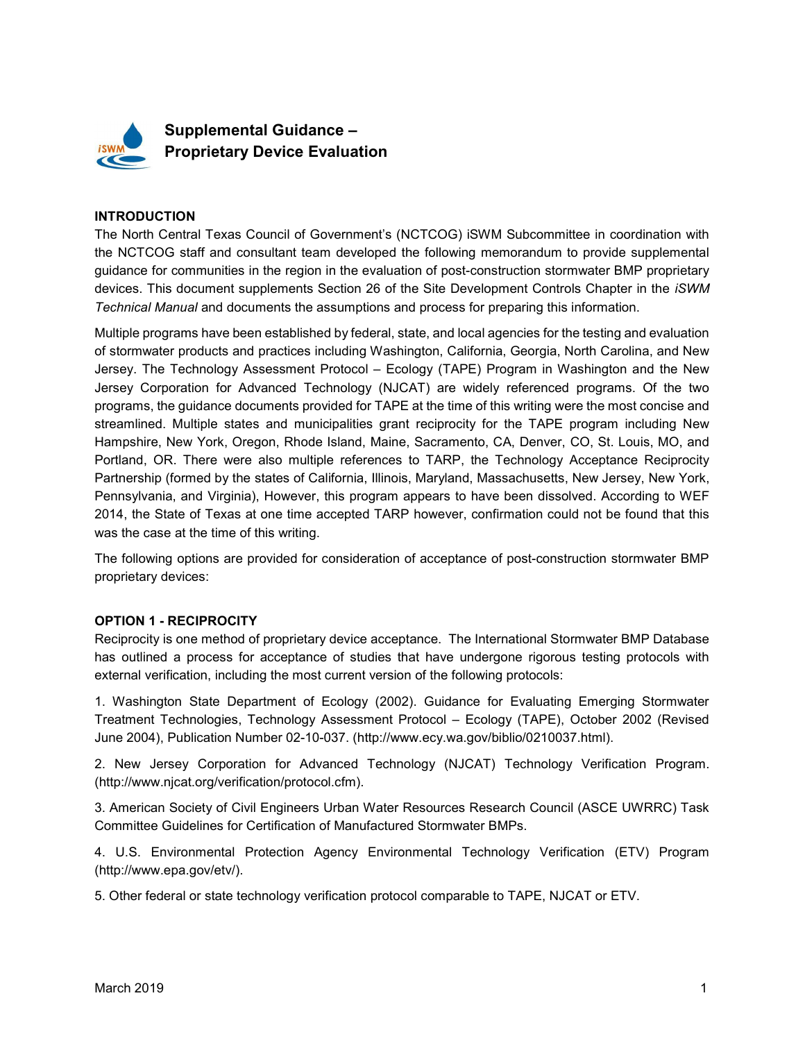

#### **INTRODUCTION**

The North Central Texas Council of Government's (NCTCOG) iSWM Subcommittee in coordination with the NCTCOG staff and consultant team developed the following memorandum to provide supplemental guidance for communities in the region in the evaluation of post-construction stormwater BMP proprietary devices. This document supplements Section 26 of the Site Development Controls Chapter in the *iSWM* Technical Manual and documents the assumptions and process for preparing this information.

Multiple programs have been established by federal, state, and local agencies for the testing and evaluation of stormwater products and practices including Washington, California, Georgia, North Carolina, and New Jersey. The Technology Assessment Protocol – Ecology (TAPE) Program in Washington and the New Jersey Corporation for Advanced Technology (NJCAT) are widely referenced programs. Of the two programs, the guidance documents provided for TAPE at the time of this writing were the most concise and streamlined. Multiple states and municipalities grant reciprocity for the TAPE program including New Hampshire, New York, Oregon, Rhode Island, Maine, Sacramento, CA, Denver, CO, St. Louis, MO, and Portland, OR. There were also multiple references to TARP, the Technology Acceptance Reciprocity Partnership (formed by the states of California, Illinois, Maryland, Massachusetts, New Jersey, New York, Pennsylvania, and Virginia), However, this program appears to have been dissolved. According to WEF 2014, the State of Texas at one time accepted TARP however, confirmation could not be found that this was the case at the time of this writing.

The following options are provided for consideration of acceptance of post-construction stormwater BMP proprietary devices:

#### OPTION 1 - RECIPROCITY

Reciprocity is one method of proprietary device acceptance. The International Stormwater BMP Database has outlined a process for acceptance of studies that have undergone rigorous testing protocols with external verification, including the most current version of the following protocols:

1. Washington State Department of Ecology (2002). Guidance for Evaluating Emerging Stormwater Treatment Technologies, Technology Assessment Protocol – Ecology (TAPE), October 2002 (Revised June 2004), Publication Number 02-10-037. (http://www.ecy.wa.gov/biblio/0210037.html).

2. New Jersey Corporation for Advanced Technology (NJCAT) Technology Verification Program. (http://www.njcat.org/verification/protocol.cfm).

3. American Society of Civil Engineers Urban Water Resources Research Council (ASCE UWRRC) Task Committee Guidelines for Certification of Manufactured Stormwater BMPs.

4. U.S. Environmental Protection Agency Environmental Technology Verification (ETV) Program (http://www.epa.gov/etv/).

5. Other federal or state technology verification protocol comparable to TAPE, NJCAT or ETV.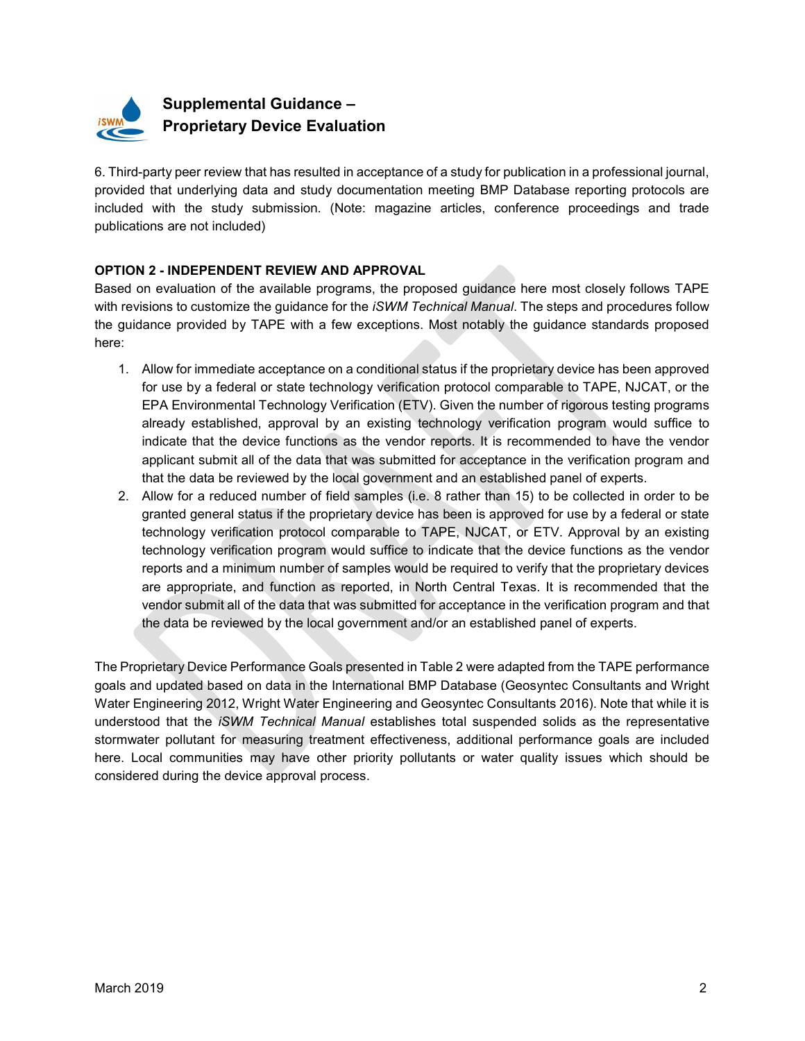

# Supplemental Guidance – Proprietary Device Evaluation

6. Third-party peer review that has resulted in acceptance of a study for publication in a professional journal, provided that underlying data and study documentation meeting BMP Database reporting protocols are included with the study submission. (Note: magazine articles, conference proceedings and trade publications are not included)

#### OPTION 2 - INDEPENDENT REVIEW AND APPROVAL

Based on evaluation of the available programs, the proposed guidance here most closely follows TAPE with revisions to customize the guidance for the *iSWM Technical Manual*. The steps and procedures follow the guidance provided by TAPE with a few exceptions. Most notably the guidance standards proposed here:

- 1. Allow for immediate acceptance on a conditional status if the proprietary device has been approved for use by a federal or state technology verification protocol comparable to TAPE, NJCAT, or the EPA Environmental Technology Verification (ETV). Given the number of rigorous testing programs already established, approval by an existing technology verification program would suffice to indicate that the device functions as the vendor reports. It is recommended to have the vendor applicant submit all of the data that was submitted for acceptance in the verification program and that the data be reviewed by the local government and an established panel of experts.
- 2. Allow for a reduced number of field samples (i.e. 8 rather than 15) to be collected in order to be granted general status if the proprietary device has been is approved for use by a federal or state technology verification protocol comparable to TAPE, NJCAT, or ETV. Approval by an existing technology verification program would suffice to indicate that the device functions as the vendor reports and a minimum number of samples would be required to verify that the proprietary devices are appropriate, and function as reported, in North Central Texas. It is recommended that the vendor submit all of the data that was submitted for acceptance in the verification program and that the data be reviewed by the local government and/or an established panel of experts.

The Proprietary Device Performance Goals presented in Table 2 were adapted from the TAPE performance goals and updated based on data in the International BMP Database (Geosyntec Consultants and Wright Water Engineering 2012, Wright Water Engineering and Geosyntec Consultants 2016). Note that while it is understood that the iSWM Technical Manual establishes total suspended solids as the representative stormwater pollutant for measuring treatment effectiveness, additional performance goals are included here. Local communities may have other priority pollutants or water quality issues which should be considered during the device approval process.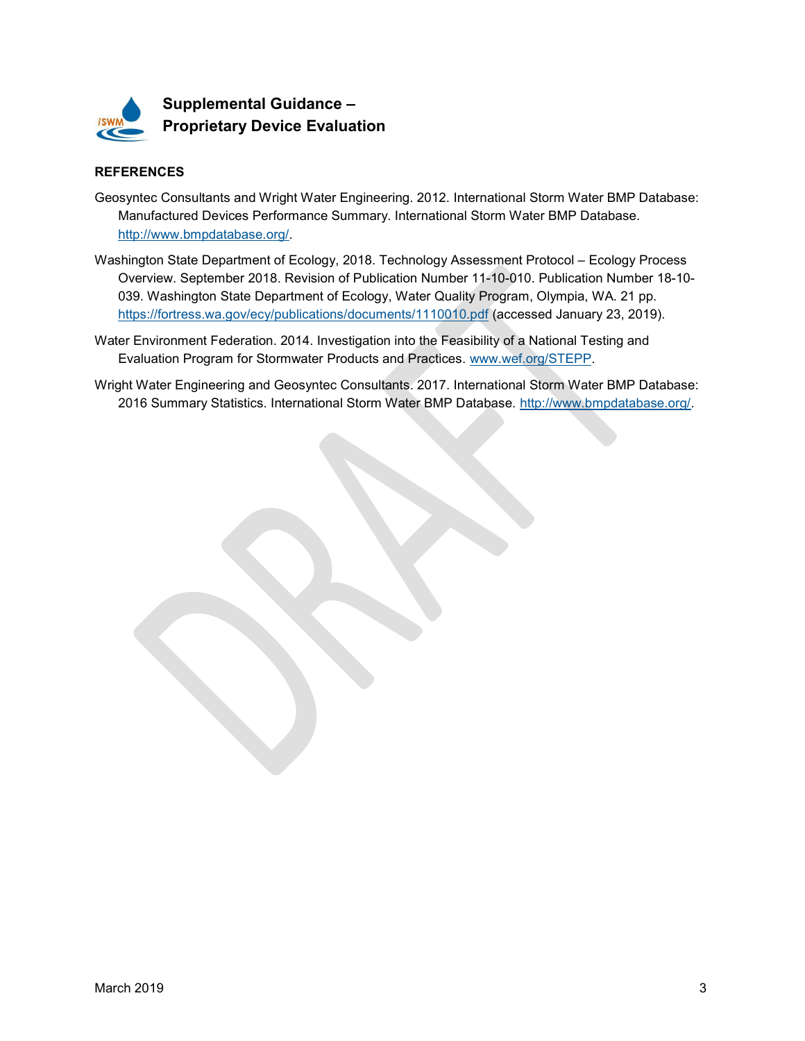

## Supplemental Guidance – Proprietary Device Evaluation

#### **REFERENCES**

- Geosyntec Consultants and Wright Water Engineering. 2012. International Storm Water BMP Database: Manufactured Devices Performance Summary. International Storm Water BMP Database. http://www.bmpdatabase.org/.
- Washington State Department of Ecology, 2018. Technology Assessment Protocol Ecology Process Overview. September 2018. Revision of Publication Number 11-10-010. Publication Number 18-10- 039. Washington State Department of Ecology, Water Quality Program, Olympia, WA. 21 pp. https://fortress.wa.gov/ecy/publications/documents/1110010.pdf (accessed January 23, 2019).
- Water Environment Federation. 2014. Investigation into the Feasibility of a National Testing and Evaluation Program for Stormwater Products and Practices. www.wef.org/STEPP.
- Wright Water Engineering and Geosyntec Consultants. 2017. International Storm Water BMP Database: 2016 Summary Statistics. International Storm Water BMP Database. http://www.bmpdatabase.org/.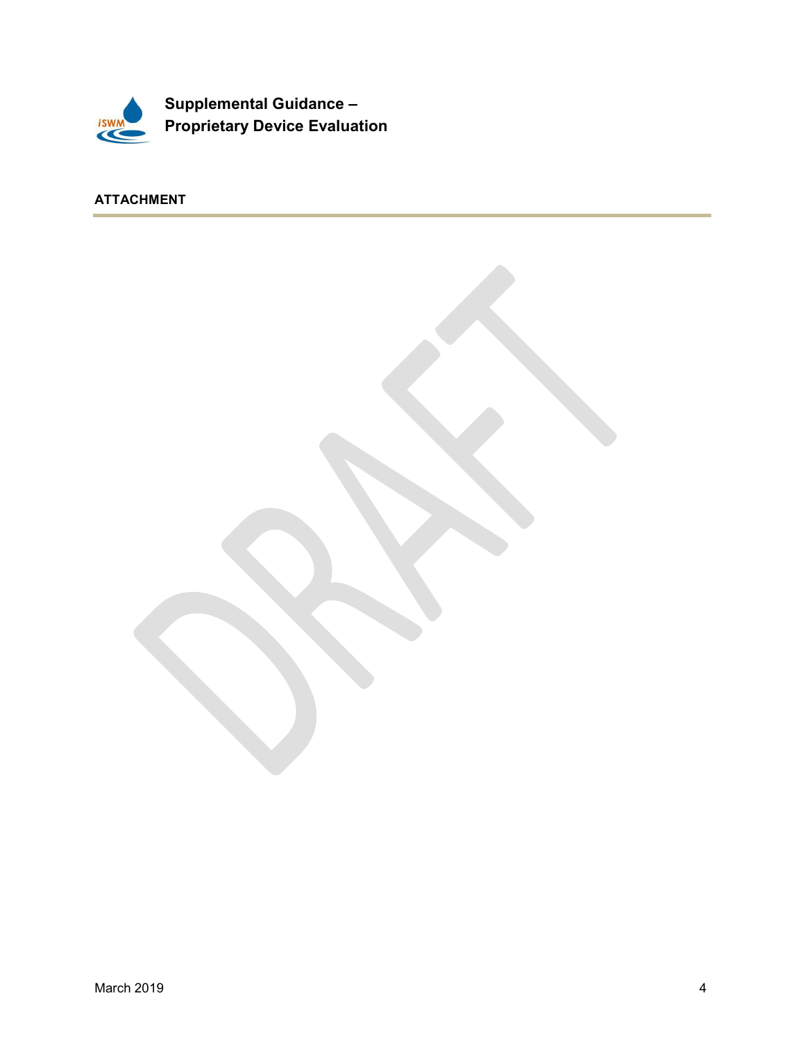

ATTACHMENT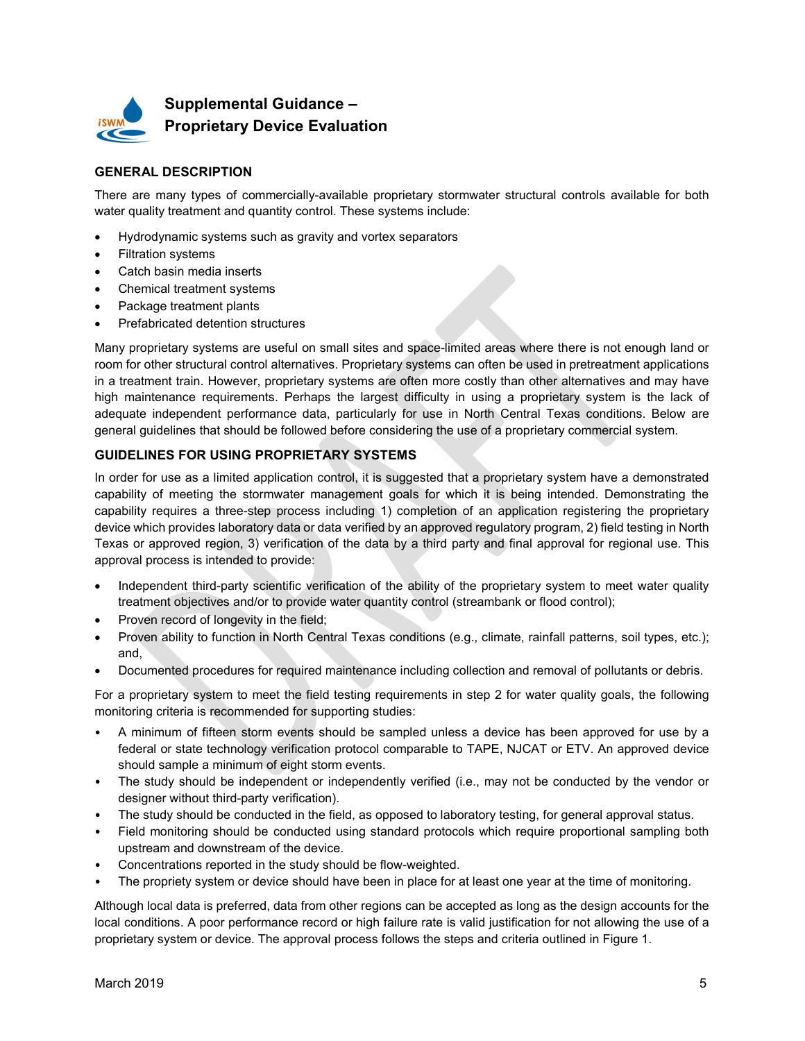

### Supplemental Guidance – Proprietary Device Evaluation

#### GENERAL DESCRIPTION

There are many types of commercially-available proprietary stormwater structural controls available for both water quality treatment and quantity control. These systems include:

- Hydrodynamic systems such as gravity and vortex separators
- Filtration systems
- Catch basin media inserts
- Chemical treatment systems
- Package treatment plants
- Prefabricated detention structures

Many proprietary systems are useful on small sites and space-limited areas where there is not enough land or room for other structural control alternatives. Proprietary systems can often be used in pretreatment applications in a treatment train. However, proprietary systems are often more costly than other alternatives and may have high maintenance requirements. Perhaps the largest difficulty in using a proprietary system is the lack of adequate independent performance data, particularly for use in North Central Texas conditions. Below are general guidelines that should be followed before considering the use of a proprietary commercial system.

#### GUIDELINES FOR USING PROPRIETARY SYSTEMS

In order for use as a limited application control, it is suggested that a proprietary system have a demonstrated capability of meeting the stormwater management goals for which it is being intended. Demonstrating the capability requires a three-step process including 1) completion of an application registering the proprietary device which provides laboratory data or data verified by an approved regulatory program, 2) field testing in North Texas or approved region, 3) verification of the data by a third party and final approval for regional use. This approval process is intended to provide:

- Independent third-party scientific verification of the ability of the proprietary system to meet water quality treatment objectives and/or to provide water quantity control (streambank or flood control);
- Proven record of longevity in the field;
- Proven ability to function in North Central Texas conditions (e.g., climate, rainfall patterns, soil types, etc.); and,
- Documented procedures for required maintenance including collection and removal of pollutants or debris.

For a proprietary system to meet the field testing requirements in step 2 for water quality goals, the following monitoring criteria is recommended for supporting studies:

- A minimum of fifteen storm events should be sampled unless a device has been approved for use by a federal or state technology verification protocol comparable to TAPE, NJCAT or ETV. An approved device should sample a minimum of eight storm events.
- The study should be independent or independently verified (i.e., may not be conducted by the vendor or designer without third-party verification).
- The study should be conducted in the field, as opposed to laboratory testing, for general approval status.
- Field monitoring should be conducted using standard protocols which require proportional sampling both upstream and downstream of the device.
- Concentrations reported in the study should be flow-weighted.
- The propriety system or device should have been in place for at least one year at the time of monitoring.

Although local data is preferred, data from other regions can be accepted as long as the design accounts for the local conditions. A poor performance record or high failure rate is valid justification for not allowing the use of a proprietary system or device. The approval process follows the steps and criteria outlined in Figure 1.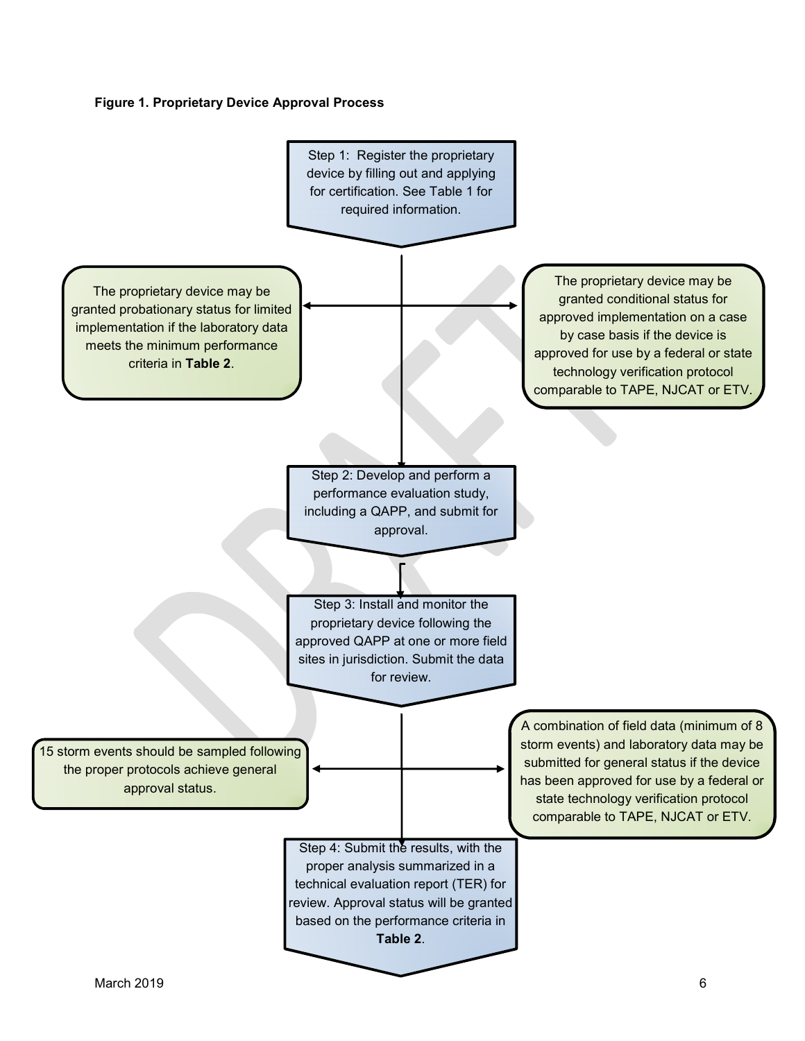#### Figure 1. Proprietary Device Approval Process

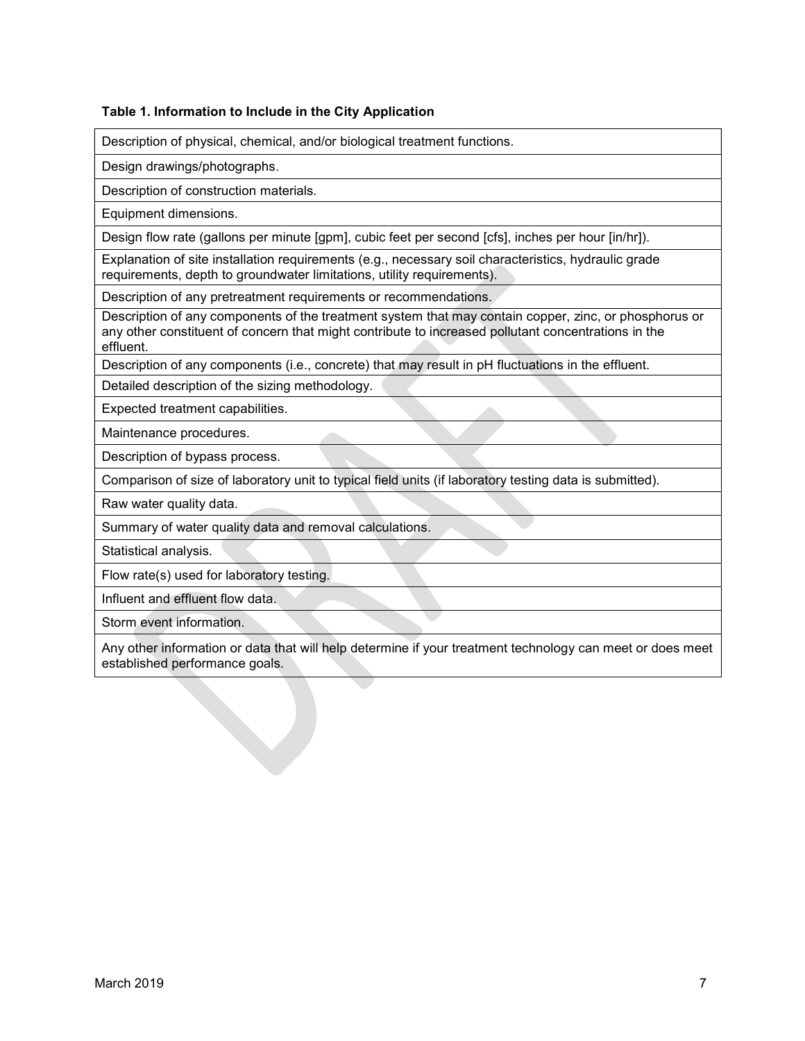#### Table 1. Information to Include in the City Application

Description of physical, chemical, and/or biological treatment functions.

Design drawings/photographs.

Description of construction materials.

Equipment dimensions.

Design flow rate (gallons per minute [gpm], cubic feet per second [cfs], inches per hour [in/hr]).

Explanation of site installation requirements (e.g., necessary soil characteristics, hydraulic grade requirements, depth to groundwater limitations, utility requirements).

Description of any pretreatment requirements or recommendations.

Description of any components of the treatment system that may contain copper, zinc, or phosphorus or any other constituent of concern that might contribute to increased pollutant concentrations in the effluent.

Description of any components (i.e., concrete) that may result in pH fluctuations in the effluent.

Detailed description of the sizing methodology.

Expected treatment capabilities.

Maintenance procedures.

Description of bypass process.

Comparison of size of laboratory unit to typical field units (if laboratory testing data is submitted).

Raw water quality data.

Summary of water quality data and removal calculations.

Statistical analysis.

Flow rate(s) used for laboratory testing.

Influent and effluent flow data.

Storm event information.

Any other information or data that will help determine if your treatment technology can meet or does meet established performance goals.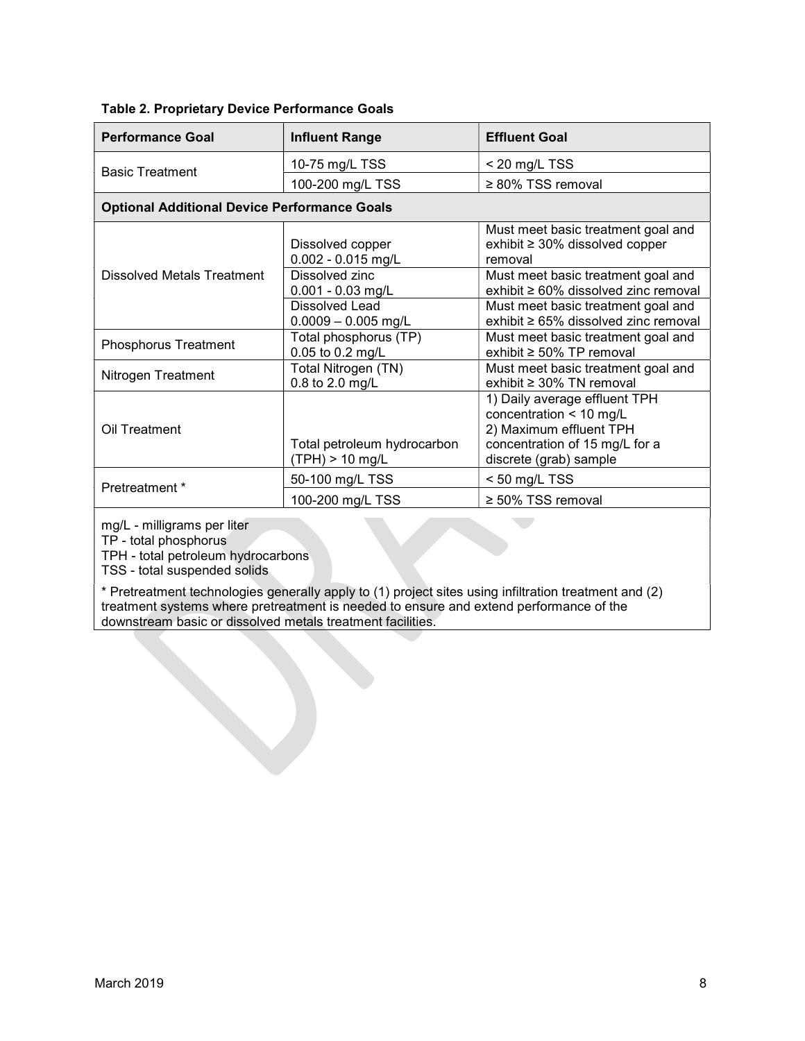| <b>Performance Goal</b>                                      | <b>Influent Range</b>                          | <b>Effluent Goal</b>                                                                                                                            |  |  |  |
|--------------------------------------------------------------|------------------------------------------------|-------------------------------------------------------------------------------------------------------------------------------------------------|--|--|--|
| <b>Basic Treatment</b>                                       | 10-75 mg/L TSS                                 | $<$ 20 mg/L TSS                                                                                                                                 |  |  |  |
|                                                              | 100-200 mg/L TSS                               | $\geq 80\%$ TSS removal                                                                                                                         |  |  |  |
| <b>Optional Additional Device Performance Goals</b>          |                                                |                                                                                                                                                 |  |  |  |
|                                                              | Dissolved copper<br>$0.002 - 0.015$ mg/L       | Must meet basic treatment goal and<br>exhibit $\geq 30\%$ dissolved copper<br>removal                                                           |  |  |  |
| Dissolved Metals Treatment                                   | Dissolved zinc<br>$0.001 - 0.03$ mg/L          | Must meet basic treatment goal and<br>exhibit $\geq 60\%$ dissolved zinc removal                                                                |  |  |  |
|                                                              | <b>Dissolved Lead</b><br>$0.0009 - 0.005$ mg/L | Must meet basic treatment goal and<br>exhibit $\geq 65\%$ dissolved zinc removal                                                                |  |  |  |
| <b>Phosphorus Treatment</b>                                  | Total phosphorus (TP)<br>0.05 to 0.2 mg/L      | Must meet basic treatment goal and<br>exhibit $\geq 50\%$ TP removal                                                                            |  |  |  |
| Total Nitrogen (TN)<br>Nitrogen Treatment<br>0.8 to 2.0 mg/L |                                                | Must meet basic treatment goal and<br>exhibit $\geq 30\%$ TN removal                                                                            |  |  |  |
| Oil Treatment                                                | Total petroleum hydrocarbon<br>(TPH) > 10 mg/L | 1) Daily average effluent TPH<br>concentration < 10 mg/L<br>2) Maximum effluent TPH<br>concentration of 15 mg/L for a<br>discrete (grab) sample |  |  |  |
| Pretreatment *                                               | 50-100 mg/L TSS                                | $<$ 50 mg/L TSS                                                                                                                                 |  |  |  |
|                                                              | 100-200 mg/L TSS                               | $\geq 50\%$ TSS removal                                                                                                                         |  |  |  |

#### Table 2. Proprietary Device Performance Goals

mg/L - milligrams per liter

TP - total phosphorus

TPH - total petroleum hydrocarbons

TSS - total suspended solids

\* Pretreatment technologies generally apply to (1) project sites using infiltration treatment and (2) treatment systems where pretreatment is needed to ensure and extend performance of the downstream basic or dissolved metals treatment facilities.